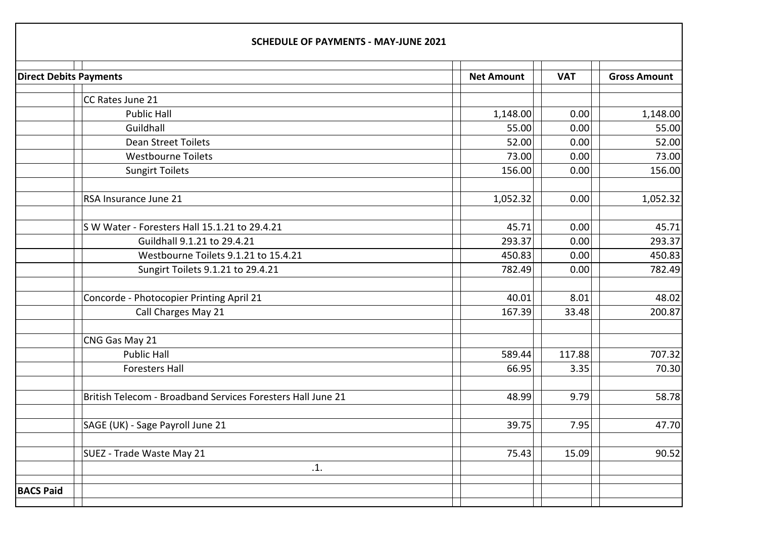| <b>Direct Debits Payments</b> |                                                             | <b>Net Amount</b> | <b>VAT</b> | <b>Gross Amount</b> |
|-------------------------------|-------------------------------------------------------------|-------------------|------------|---------------------|
|                               | CC Rates June 21                                            |                   |            |                     |
|                               | <b>Public Hall</b>                                          | 1,148.00          | 0.00       | 1,148.00            |
|                               | Guildhall                                                   | 55.00             | 0.00       | 55.00               |
|                               | <b>Dean Street Toilets</b>                                  | 52.00             | 0.00       | 52.00               |
|                               | <b>Westbourne Toilets</b>                                   | 73.00             | 0.00       | 73.00               |
|                               | <b>Sungirt Toilets</b>                                      | 156.00            | 0.00       | 156.00              |
|                               | RSA Insurance June 21                                       | 1,052.32          | 0.00       | 1,052.32            |
|                               | S W Water - Foresters Hall 15.1.21 to 29.4.21               | 45.71             | 0.00       | 45.71               |
|                               | Guildhall 9.1.21 to 29.4.21                                 | 293.37            | 0.00       | 293.37              |
|                               | Westbourne Toilets 9.1.21 to 15.4.21                        | 450.83            | 0.00       | 450.83              |
|                               | Sungirt Toilets 9.1.21 to 29.4.21                           | 782.49            | 0.00       | 782.49              |
|                               | Concorde - Photocopier Printing April 21                    | 40.01             | 8.01       | 48.02               |
|                               | Call Charges May 21                                         | 167.39            | 33.48      | 200.87              |
|                               | CNG Gas May 21                                              |                   |            |                     |
|                               | <b>Public Hall</b>                                          | 589.44            | 117.88     | 707.32              |
|                               | <b>Foresters Hall</b>                                       | 66.95             | 3.35       | 70.30               |
|                               | British Telecom - Broadband Services Foresters Hall June 21 | 48.99             | 9.79       | 58.78               |
|                               | SAGE (UK) - Sage Payroll June 21                            | 39.75             | 7.95       | 47.70               |
|                               | SUEZ - Trade Waste May 21                                   | 75.43             | 15.09      | 90.52               |
|                               | .1.                                                         |                   |            |                     |
| <b>BACS Paid</b>              |                                                             |                   |            |                     |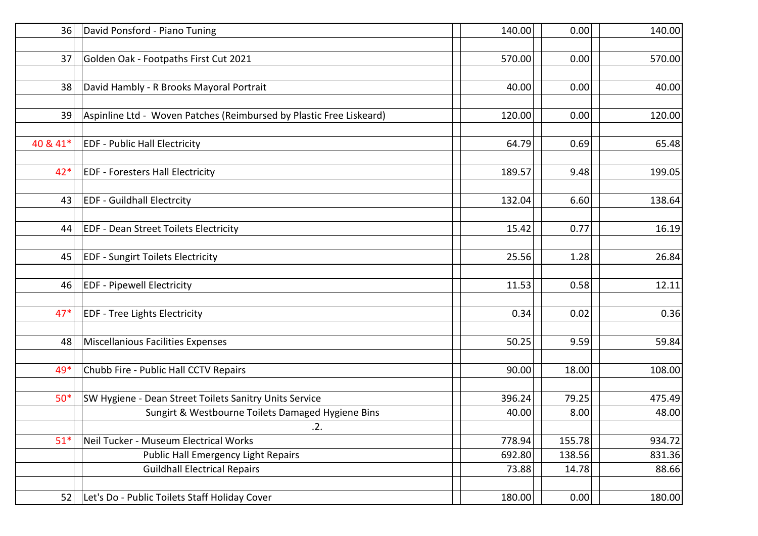| 36       | David Ponsford - Piano Tuning                                       | 140.00 | 0.00   | 140.00 |
|----------|---------------------------------------------------------------------|--------|--------|--------|
|          |                                                                     |        |        |        |
| 37       | Golden Oak - Footpaths First Cut 2021                               | 570.00 | 0.00   | 570.00 |
|          |                                                                     |        |        |        |
| 38       | David Hambly - R Brooks Mayoral Portrait                            | 40.00  | 0.00   | 40.00  |
|          |                                                                     |        |        |        |
| 39       | Aspinline Ltd - Woven Patches (Reimbursed by Plastic Free Liskeard) | 120.00 | 0.00   | 120.00 |
|          |                                                                     |        |        |        |
| 40 & 41* | <b>EDF - Public Hall Electricity</b>                                | 64.79  | 0.69   | 65.48  |
|          |                                                                     |        |        |        |
| $42*$    | <b>EDF - Foresters Hall Electricity</b>                             | 189.57 | 9.48   | 199.05 |
|          |                                                                     |        |        |        |
| 43       | <b>EDF - Guildhall Electrcity</b>                                   | 132.04 | 6.60   | 138.64 |
|          |                                                                     |        |        |        |
| 44       | <b>EDF - Dean Street Toilets Electricity</b>                        | 15.42  | 0.77   | 16.19  |
|          |                                                                     |        |        |        |
| 45       | <b>EDF - Sungirt Toilets Electricity</b>                            | 25.56  | 1.28   | 26.84  |
|          |                                                                     |        |        |        |
| 46       | <b>EDF - Pipewell Electricity</b>                                   | 11.53  | 0.58   | 12.11  |
|          |                                                                     |        |        |        |
| $47*$    | <b>EDF - Tree Lights Electricity</b>                                | 0.34   | 0.02   | 0.36   |
|          |                                                                     |        |        |        |
| 48       | Miscellanious Facilities Expenses                                   | 50.25  | 9.59   | 59.84  |
|          |                                                                     |        |        |        |
| 49*      | Chubb Fire - Public Hall CCTV Repairs                               | 90.00  | 18.00  | 108.00 |
|          |                                                                     |        |        |        |
| $50*$    | SW Hygiene - Dean Street Toilets Sanitry Units Service              | 396.24 | 79.25  | 475.49 |
|          | Sungirt & Westbourne Toilets Damaged Hygiene Bins                   | 40.00  | 8.00   | 48.00  |
|          | .2.                                                                 |        |        |        |
| $51*$    | Neil Tucker - Museum Electrical Works                               | 778.94 | 155.78 | 934.72 |
|          | Public Hall Emergency Light Repairs                                 | 692.80 | 138.56 | 831.36 |
|          | <b>Guildhall Electrical Repairs</b>                                 | 73.88  | 14.78  | 88.66  |
| 52       | Let's Do - Public Toilets Staff Holiday Cover                       | 180.00 | 0.00   | 180.00 |
|          |                                                                     |        |        |        |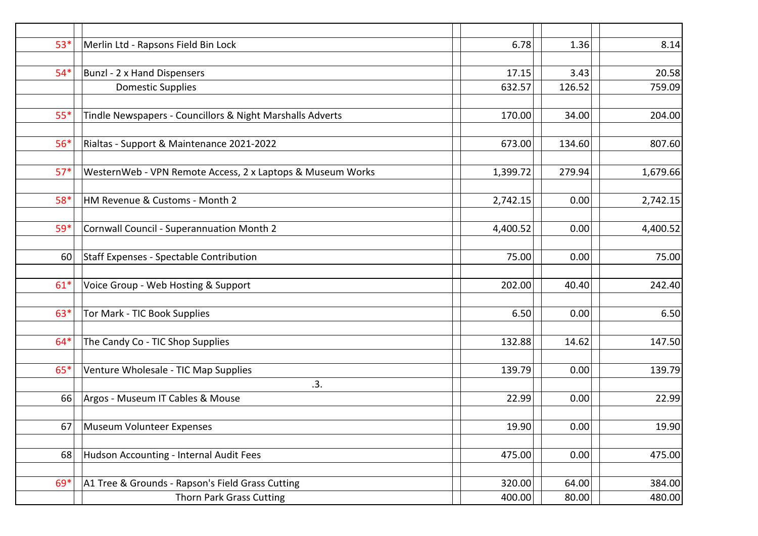| $53*$ | Merlin Ltd - Rapsons Field Bin Lock                        | 6.78     | 1.36   | 8.14     |
|-------|------------------------------------------------------------|----------|--------|----------|
|       |                                                            |          |        |          |
| $54*$ | <b>Bunzl - 2 x Hand Dispensers</b>                         | 17.15    | 3.43   | 20.58    |
|       | <b>Domestic Supplies</b>                                   | 632.57   | 126.52 | 759.09   |
|       |                                                            |          |        |          |
| $55*$ | Tindle Newspapers - Councillors & Night Marshalls Adverts  | 170.00   | 34.00  | 204.00   |
|       |                                                            |          |        |          |
| $56*$ | Rialtas - Support & Maintenance 2021-2022                  | 673.00   | 134.60 | 807.60   |
| $57*$ | WesternWeb - VPN Remote Access, 2 x Laptops & Museum Works | 1,399.72 | 279.94 | 1,679.66 |
|       |                                                            |          |        |          |
| 58*   | HM Revenue & Customs - Month 2                             | 2,742.15 | 0.00   | 2,742.15 |
|       |                                                            |          |        |          |
| 59*   | Cornwall Council - Superannuation Month 2                  | 4,400.52 | 0.00   | 4,400.52 |
|       |                                                            |          |        |          |
| 60    | Staff Expenses - Spectable Contribution                    | 75.00    | 0.00   | 75.00    |
| $61*$ | Voice Group - Web Hosting & Support                        | 202.00   | 40.40  | 242.40   |
|       |                                                            |          |        |          |
| $63*$ | Tor Mark - TIC Book Supplies                               | 6.50     | 0.00   | 6.50     |
|       |                                                            |          |        |          |
| $64*$ | The Candy Co - TIC Shop Supplies                           | 132.88   | 14.62  | 147.50   |
|       |                                                            |          |        |          |
| $65*$ | Venture Wholesale - TIC Map Supplies                       | 139.79   | 0.00   | 139.79   |
|       | .3.                                                        |          |        |          |
| 66    | Argos - Museum IT Cables & Mouse                           | 22.99    | 0.00   | 22.99    |
|       |                                                            |          |        |          |
|       | 67   Museum Volunteer Expenses                             | 19.90    | 0.00   | 19.90    |
| 68    | Hudson Accounting - Internal Audit Fees                    | 475.00   | 0.00   | 475.00   |
|       |                                                            |          |        |          |
| $69*$ | A1 Tree & Grounds - Rapson's Field Grass Cutting           | 320.00   | 64.00  | 384.00   |
|       | Thorn Park Grass Cutting                                   | 400.00   | 80.00  | 480.00   |